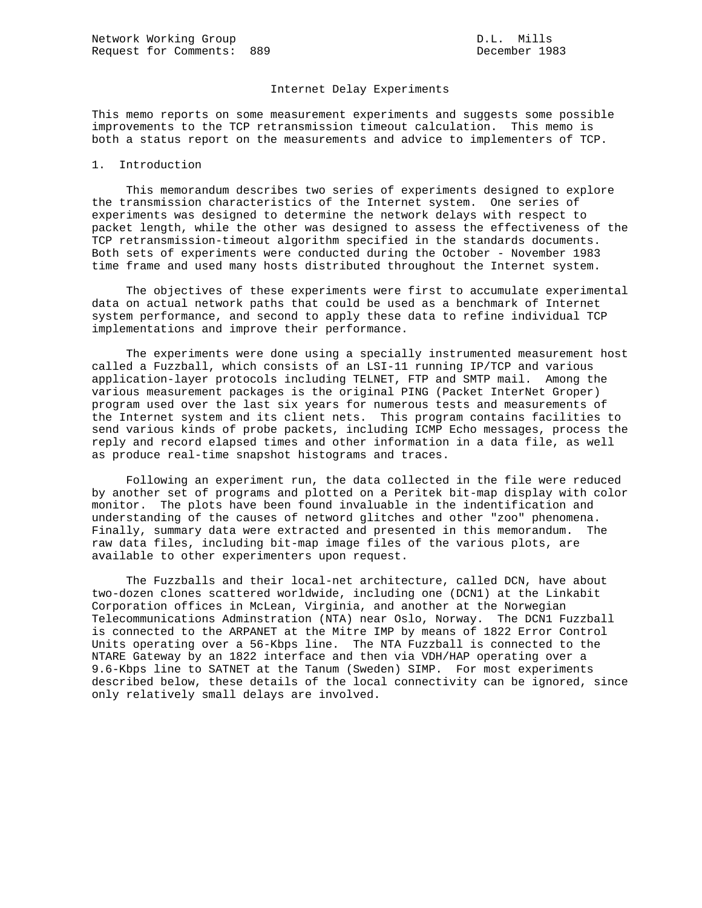## Internet Delay Experiments

This memo reports on some measurement experiments and suggests some possible improvements to the TCP retransmission timeout calculation. This memo is both a status report on the measurements and advice to implementers of TCP.

## 1. Introduction

 This memorandum describes two series of experiments designed to explore the transmission characteristics of the Internet system. One series of experiments was designed to determine the network delays with respect to packet length, while the other was designed to assess the effectiveness of the TCP retransmission-timeout algorithm specified in the standards documents. Both sets of experiments were conducted during the October - November 1983 time frame and used many hosts distributed throughout the Internet system.

 The objectives of these experiments were first to accumulate experimental data on actual network paths that could be used as a benchmark of Internet system performance, and second to apply these data to refine individual TCP implementations and improve their performance.

 The experiments were done using a specially instrumented measurement host called a Fuzzball, which consists of an LSI-11 running IP/TCP and various application-layer protocols including TELNET, FTP and SMTP mail. Among the various measurement packages is the original PING (Packet InterNet Groper) program used over the last six years for numerous tests and measurements of the Internet system and its client nets. This program contains facilities to send various kinds of probe packets, including ICMP Echo messages, process the reply and record elapsed times and other information in a data file, as well as produce real-time snapshot histograms and traces.

 Following an experiment run, the data collected in the file were reduced by another set of programs and plotted on a Peritek bit-map display with color monitor. The plots have been found invaluable in the indentification and understanding of the causes of netword glitches and other "zoo" phenomena. Finally, summary data were extracted and presented in this memorandum. The raw data files, including bit-map image files of the various plots, are available to other experimenters upon request.

 The Fuzzballs and their local-net architecture, called DCN, have about two-dozen clones scattered worldwide, including one (DCN1) at the Linkabit Corporation offices in McLean, Virginia, and another at the Norwegian Telecommunications Adminstration (NTA) near Oslo, Norway. The DCN1 Fuzzball is connected to the ARPANET at the Mitre IMP by means of 1822 Error Control Units operating over a 56-Kbps line. The NTA Fuzzball is connected to the NTARE Gateway by an 1822 interface and then via VDH/HAP operating over a 9.6-Kbps line to SATNET at the Tanum (Sweden) SIMP. For most experiments described below, these details of the local connectivity can be ignored, since only relatively small delays are involved.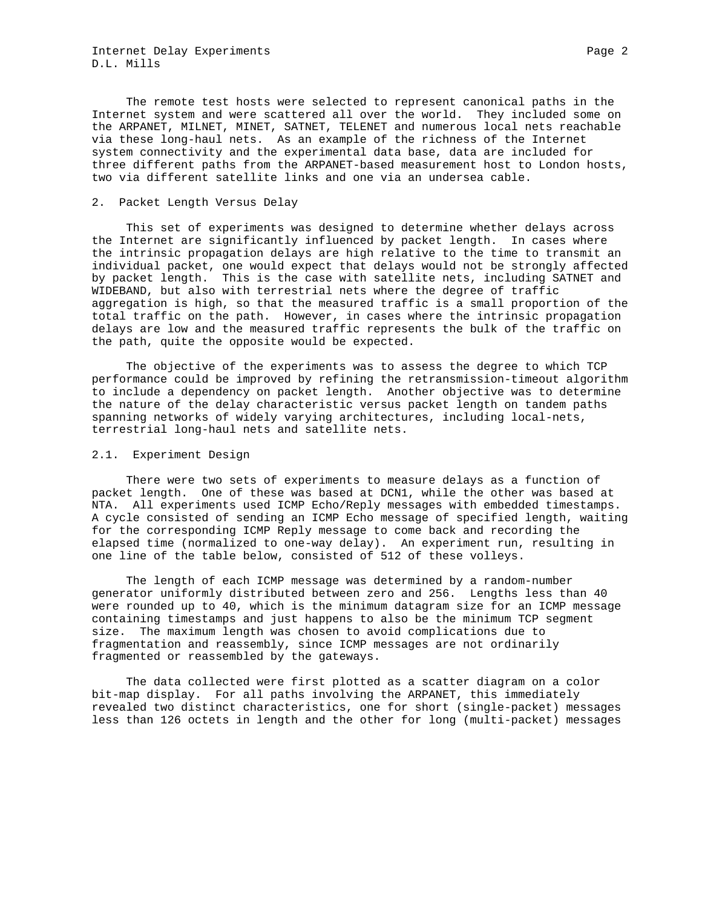Internet Delay Experiments Page 2 D.L. Mills

 The remote test hosts were selected to represent canonical paths in the Internet system and were scattered all over the world. They included some on the ARPANET, MILNET, MINET, SATNET, TELENET and numerous local nets reachable via these long-haul nets. As an example of the richness of the Internet system connectivity and the experimental data base, data are included for three different paths from the ARPANET-based measurement host to London hosts, two via different satellite links and one via an undersea cable.

## 2. Packet Length Versus Delay

 This set of experiments was designed to determine whether delays across the Internet are significantly influenced by packet length. In cases where the intrinsic propagation delays are high relative to the time to transmit an individual packet, one would expect that delays would not be strongly affected by packet length. This is the case with satellite nets, including SATNET and WIDEBAND, but also with terrestrial nets where the degree of traffic aggregation is high, so that the measured traffic is a small proportion of the total traffic on the path. However, in cases where the intrinsic propagation delays are low and the measured traffic represents the bulk of the traffic on the path, quite the opposite would be expected.

 The objective of the experiments was to assess the degree to which TCP performance could be improved by refining the retransmission-timeout algorithm to include a dependency on packet length. Another objective was to determine the nature of the delay characteristic versus packet length on tandem paths spanning networks of widely varying architectures, including local-nets, terrestrial long-haul nets and satellite nets.

## 2.1. Experiment Design

 There were two sets of experiments to measure delays as a function of packet length. One of these was based at DCN1, while the other was based at NTA. All experiments used ICMP Echo/Reply messages with embedded timestamps. A cycle consisted of sending an ICMP Echo message of specified length, waiting for the corresponding ICMP Reply message to come back and recording the elapsed time (normalized to one-way delay). An experiment run, resulting in one line of the table below, consisted of 512 of these volleys.

 The length of each ICMP message was determined by a random-number generator uniformly distributed between zero and 256. Lengths less than 40 were rounded up to 40, which is the minimum datagram size for an ICMP message containing timestamps and just happens to also be the minimum TCP segment size. The maximum length was chosen to avoid complications due to fragmentation and reassembly, since ICMP messages are not ordinarily fragmented or reassembled by the gateways.

 The data collected were first plotted as a scatter diagram on a color bit-map display. For all paths involving the ARPANET, this immediately revealed two distinct characteristics, one for short (single-packet) messages less than 126 octets in length and the other for long (multi-packet) messages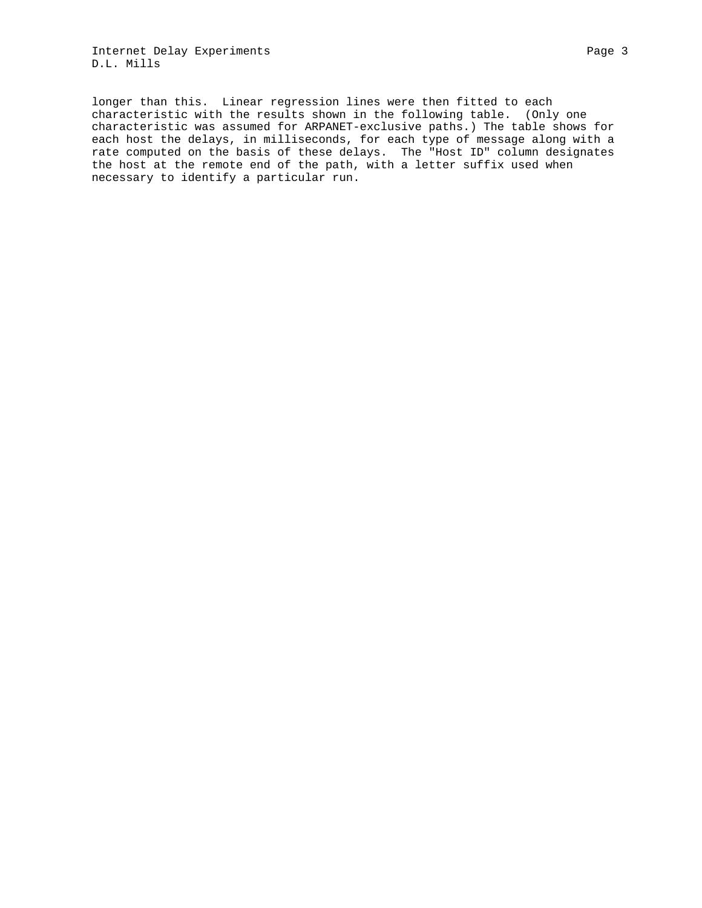Internet Delay Experiments Page 3 D.L. Mills

longer than this. Linear regression lines were then fitted to each characteristic with the results shown in the following table. (Only one characteristic was assumed for ARPANET-exclusive paths.) The table shows for each host the delays, in milliseconds, for each type of message along with a rate computed on the basis of these delays. The "Host ID" column designates the host at the remote end of the path, with a letter suffix used when necessary to identify a particular run.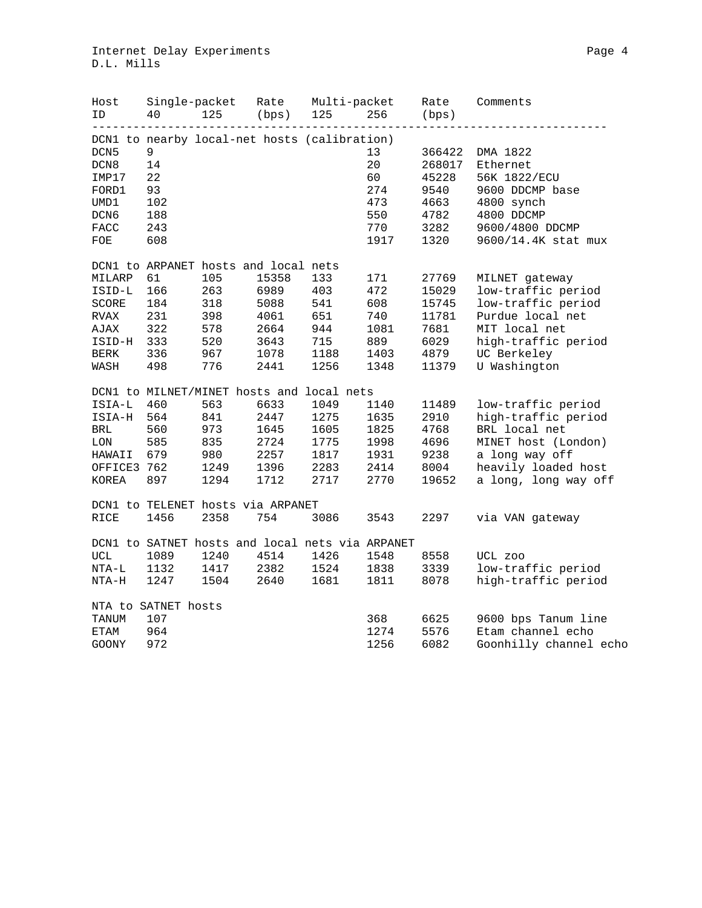| Host<br>ID          | Single-packet<br>40 | 125                                  | Rate<br>(bps) | Multi-packet<br>125                             | 256  | Rate<br>(bps) | Comments               |
|---------------------|---------------------|--------------------------------------|---------------|-------------------------------------------------|------|---------------|------------------------|
|                     |                     |                                      |               | DCN1 to nearby local-net hosts (calibration)    |      |               |                        |
| DCN <sub>5</sub>    | 9                   |                                      |               |                                                 | 13   | 366422        | DMA 1822               |
| DCN8                | 14                  |                                      |               |                                                 | 20   | 268017        | Ethernet               |
| IMP17               | 22                  |                                      |               |                                                 | 60   | 45228         | 56K 1822/ECU           |
| FORD1               | 93                  |                                      |               |                                                 | 274  | 9540          | 9600 DDCMP base        |
| UMD1                | 102                 |                                      |               |                                                 | 473  | 4663          | 4800 synch             |
| DCN6                | 188                 |                                      |               |                                                 | 550  | 4782          | 4800 DDCMP             |
| <b>FACC</b>         | 243                 |                                      |               |                                                 | 770  | 3282          | 9600/4800 DDCMP        |
| FOE                 | 608                 |                                      |               |                                                 | 1917 | 1320          | 9600/14.4K stat mux    |
|                     |                     | DCN1 to ARPANET hosts and local nets |               |                                                 |      |               |                        |
| MILARP              | 61                  | 105                                  | 15358         | 133                                             | 171  | 27769         | MILNET gateway         |
| ISID-L              | 166                 | 263                                  | 6989          | 403                                             | 472  | 15029         | low-traffic period     |
| SCORE               | 184                 | 318                                  | 5088          | 541                                             | 608  | 15745         | low-traffic period     |
| RVAX                | 231                 | 398                                  | 4061          | 651                                             | 740  | 11781         | Purdue local net       |
| AJAX                | 322                 | 578                                  | 2664          | 944                                             | 1081 | 7681          | MIT local net          |
| ISID-H              | 333                 | 520                                  | 3643          | 715                                             | 889  | 6029          | high-traffic period    |
| BERK                | 336                 | 967                                  | 1078          | 1188                                            | 1403 | 4879          | UC Berkeley            |
| WASH                | 498                 | 776                                  | 2441          | 1256                                            | 1348 | 11379         | U Washington           |
|                     |                     |                                      |               | DCN1 to MILNET/MINET hosts and local nets       |      |               |                        |
| ISIA-L              | 460                 | 563                                  | 6633          | 1049                                            | 1140 | 11489         | low-traffic period     |
| ISIA-H              | 564                 | 841                                  | 2447          | 1275                                            | 1635 | 2910          | high-traffic period    |
| BRL                 | 560                 | 973                                  | 1645          | 1605                                            | 1825 | 4768          | BRL local net          |
| $_{\rm LON}$        | 585                 | 835                                  | 2724          | 1775                                            | 1998 | 4696          | MINET host (London)    |
| HAWAII              | 679                 | 980                                  | 2257          | 1817                                            | 1931 | 9238          | a long way off         |
| OFFICE3 762         |                     | 1249                                 | 1396          | 2283                                            | 2414 | 8004          | heavily loaded host    |
| KOREA               | 897                 | 1294                                 | 1712          | 2717                                            | 2770 | 19652         | a long, long way off   |
|                     |                     | DCN1 to TELENET hosts via ARPANET    |               |                                                 |      |               |                        |
| RICE                | 1456                | 2358                                 | 754           | 3086                                            | 3543 | 2297          | via VAN gateway        |
|                     |                     |                                      |               | DCN1 to SATNET hosts and local nets via ARPANET |      |               |                        |
| $_{\rm UCL}$        | 1089                | 1240                                 | 4514          | 1426                                            | 1548 | 8558          | UCL zoo                |
| $NTA-L$             | 1132                | 1417                                 | 2382          | 1524                                            | 1838 | 3339          | low-traffic period     |
| NTA-H               | 1247                | 1504                                 | 2640          | 1681                                            | 1811 | 8078          | high-traffic period    |
| NTA to SATNET hosts |                     |                                      |               |                                                 |      |               |                        |
| TANUM               | 107                 |                                      |               |                                                 | 368  | 6625          | 9600 bps Tanum line    |
| ETAM                | 964                 |                                      |               |                                                 | 1274 | 5576          | Etam channel echo      |
| <b>GOONY</b>        | 972                 |                                      |               |                                                 | 1256 | 6082          | Goonhilly channel echo |
|                     |                     |                                      |               |                                                 |      |               |                        |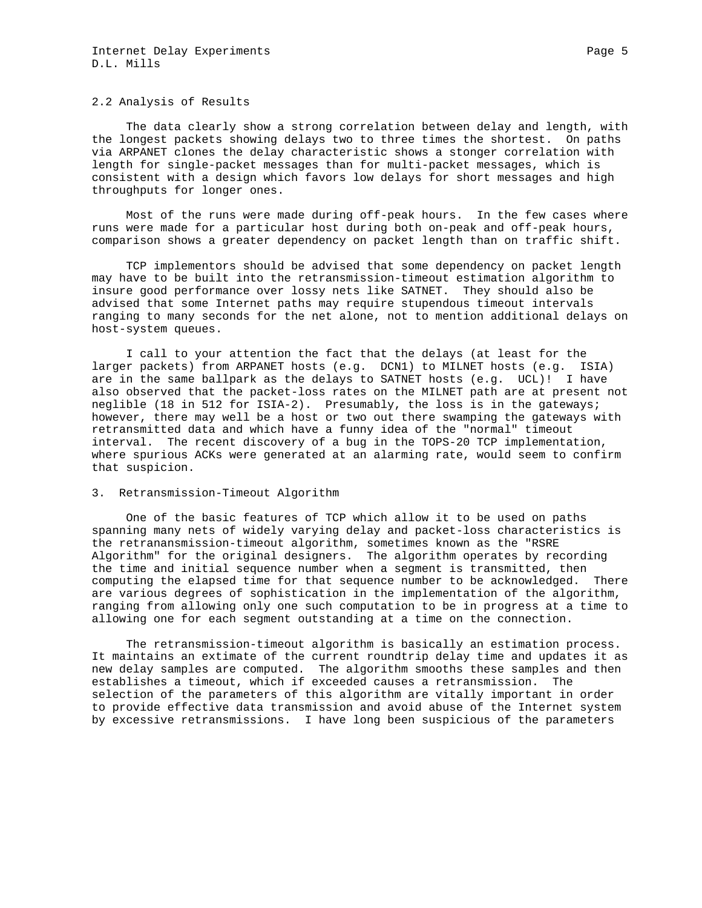#### 2.2 Analysis of Results

 The data clearly show a strong correlation between delay and length, with the longest packets showing delays two to three times the shortest. On paths via ARPANET clones the delay characteristic shows a stonger correlation with length for single-packet messages than for multi-packet messages, which is consistent with a design which favors low delays for short messages and high throughputs for longer ones.

 Most of the runs were made during off-peak hours. In the few cases where runs were made for a particular host during both on-peak and off-peak hours, comparison shows a greater dependency on packet length than on traffic shift.

 TCP implementors should be advised that some dependency on packet length may have to be built into the retransmission-timeout estimation algorithm to insure good performance over lossy nets like SATNET. They should also be advised that some Internet paths may require stupendous timeout intervals ranging to many seconds for the net alone, not to mention additional delays on host-system queues.

 I call to your attention the fact that the delays (at least for the larger packets) from ARPANET hosts (e.g. DCN1) to MILNET hosts (e.g. ISIA) are in the same ballpark as the delays to SATNET hosts (e.g. UCL)! I have also observed that the packet-loss rates on the MILNET path are at present not neglible (18 in 512 for ISIA-2). Presumably, the loss is in the gateways; however, there may well be a host or two out there swamping the gateways with retransmitted data and which have a funny idea of the "normal" timeout interval. The recent discovery of a bug in the TOPS-20 TCP implementation, where spurious ACKs were generated at an alarming rate, would seem to confirm that suspicion.

3. Retransmission-Timeout Algorithm

 One of the basic features of TCP which allow it to be used on paths spanning many nets of widely varying delay and packet-loss characteristics is the retranansmission-timeout algorithm, sometimes known as the "RSRE Algorithm" for the original designers. The algorithm operates by recording the time and initial sequence number when a segment is transmitted, then computing the elapsed time for that sequence number to be acknowledged. There are various degrees of sophistication in the implementation of the algorithm, ranging from allowing only one such computation to be in progress at a time to allowing one for each segment outstanding at a time on the connection.

 The retransmission-timeout algorithm is basically an estimation process. It maintains an extimate of the current roundtrip delay time and updates it as new delay samples are computed. The algorithm smooths these samples and then establishes a timeout, which if exceeded causes a retransmission. The selection of the parameters of this algorithm are vitally important in order to provide effective data transmission and avoid abuse of the Internet system by excessive retransmissions. I have long been suspicious of the parameters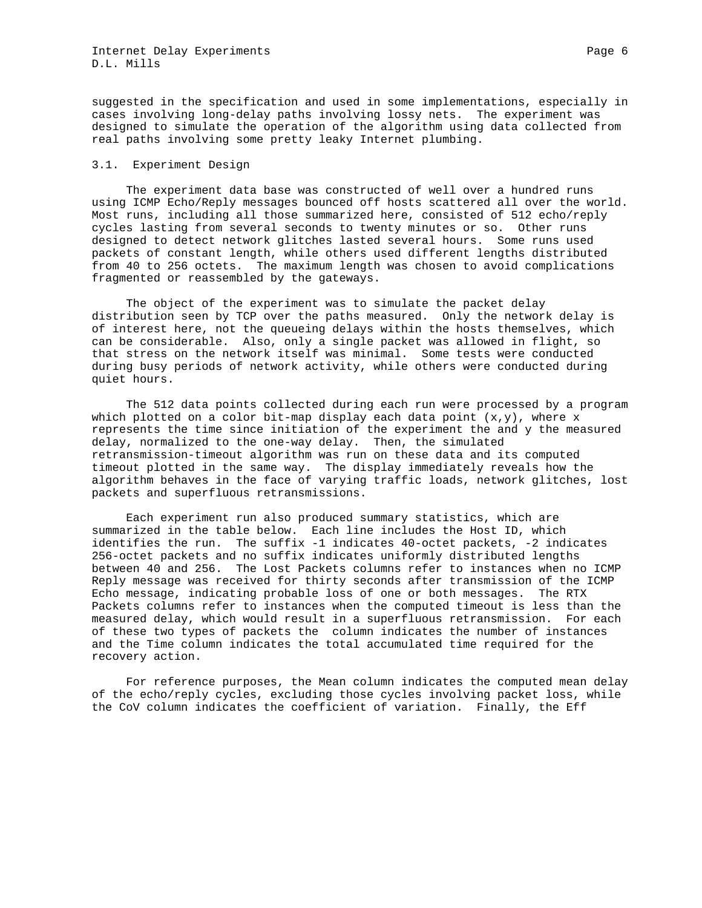suggested in the specification and used in some implementations, especially in cases involving long-delay paths involving lossy nets. The experiment was designed to simulate the operation of the algorithm using data collected from real paths involving some pretty leaky Internet plumbing.

## 3.1. Experiment Design

 The experiment data base was constructed of well over a hundred runs using ICMP Echo/Reply messages bounced off hosts scattered all over the world. Most runs, including all those summarized here, consisted of 512 echo/reply cycles lasting from several seconds to twenty minutes or so. Other runs designed to detect network glitches lasted several hours. Some runs used packets of constant length, while others used different lengths distributed from 40 to 256 octets. The maximum length was chosen to avoid complications fragmented or reassembled by the gateways.

 The object of the experiment was to simulate the packet delay distribution seen by TCP over the paths measured. Only the network delay is of interest here, not the queueing delays within the hosts themselves, which can be considerable. Also, only a single packet was allowed in flight, so that stress on the network itself was minimal. Some tests were conducted during busy periods of network activity, while others were conducted during quiet hours.

 The 512 data points collected during each run were processed by a program which plotted on a color bit-map display each data point  $(x,y)$ , where x represents the time since initiation of the experiment the and y the measured delay, normalized to the one-way delay. Then, the simulated retransmission-timeout algorithm was run on these data and its computed timeout plotted in the same way. The display immediately reveals how the algorithm behaves in the face of varying traffic loads, network glitches, lost packets and superfluous retransmissions.

 Each experiment run also produced summary statistics, which are summarized in the table below. Each line includes the Host ID, which identifies the run. The suffix -1 indicates 40-octet packets, -2 indicates 256-octet packets and no suffix indicates uniformly distributed lengths between 40 and 256. The Lost Packets columns refer to instances when no ICMP Reply message was received for thirty seconds after transmission of the ICMP Echo message, indicating probable loss of one or both messages. The RTX Packets columns refer to instances when the computed timeout is less than the measured delay, which would result in a superfluous retransmission. For each of these two types of packets the column indicates the number of instances and the Time column indicates the total accumulated time required for the recovery action.

 For reference purposes, the Mean column indicates the computed mean delay of the echo/reply cycles, excluding those cycles involving packet loss, while the CoV column indicates the coefficient of variation. Finally, the Eff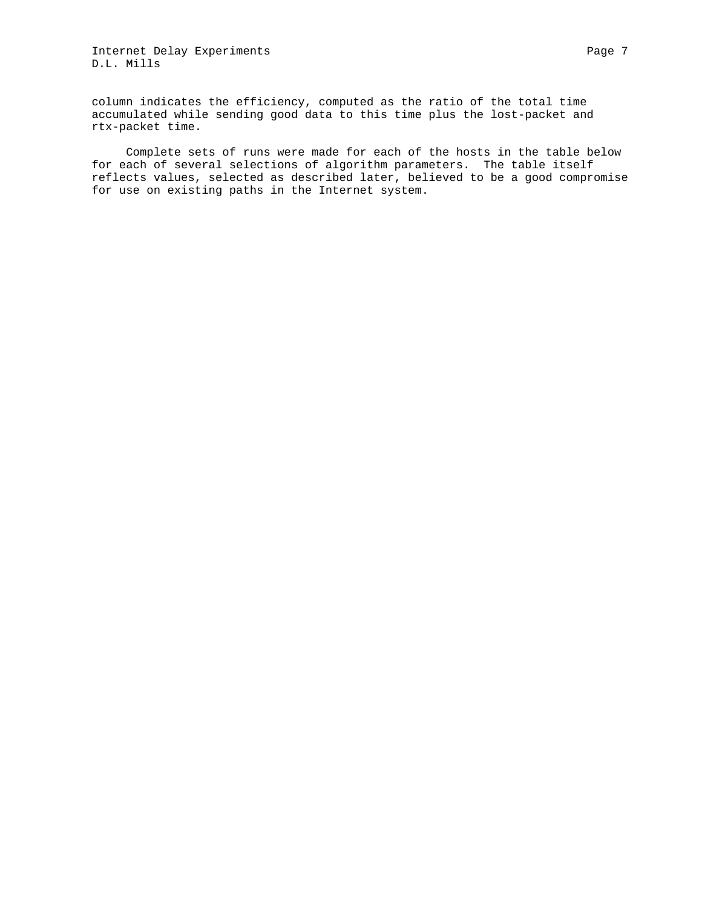Internet Delay Experiments extending the extendion of the Page 7 D.L. Mills

column indicates the efficiency, computed as the ratio of the total time accumulated while sending good data to this time plus the lost-packet and rtx-packet time.

 Complete sets of runs were made for each of the hosts in the table below for each of several selections of algorithm parameters. The table itself reflects values, selected as described later, believed to be a good compromise for use on existing paths in the Internet system.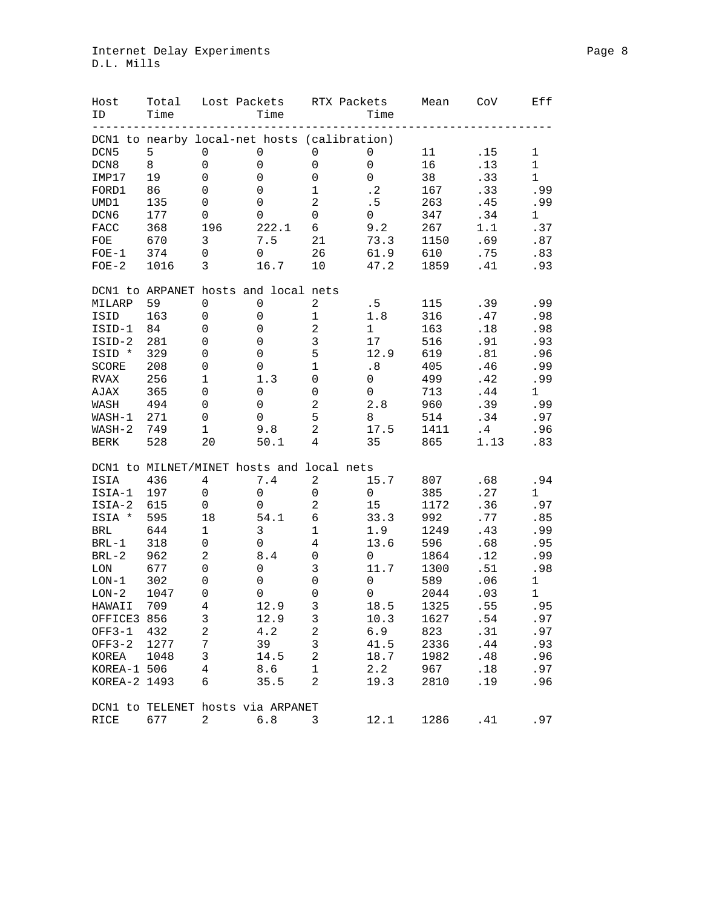# Internet Delay Experiments et al. 2013 and 2014 and 2015 and 2018 and 2019 and 2019 and 2019 and 2019 and 2019 D.L. Mills

| Host<br>ID                   | Total<br>Time | Lost Packets                                 | Time        | RTX Packets         | Time        | Mean | CoV     | Eff          |
|------------------------------|---------------|----------------------------------------------|-------------|---------------------|-------------|------|---------|--------------|
|                              |               | DCN1 to nearby local-net hosts (calibration) |             |                     |             |      |         |              |
| DCN <sub>5</sub>             | 5             | 0                                            | 0           | 0                   | 0           | 11   | .15     | $\mathbf 1$  |
| DCN <sub>8</sub>             | 8             | 0                                            | 0           | $\mathsf{O}\xspace$ | $\mathsf 0$ | 16   | .13     | $\mathbf{1}$ |
| IMP17                        | 19            | 0                                            | 0           | 0                   | $\mathbf 0$ | 38   | .33     | $\mathbf{1}$ |
| FORD1                        | 86            | 0                                            | 0           | $\mathbf 1$         | $\cdot$ 2   | 167  | .33     | .99          |
| UMD1                         | 135           | 0                                            | $\mathbf 0$ | $\sqrt{2}$          | .5          | 263  | .45     | .99          |
| DCN6                         | 177           | 0                                            | 0           | $\mathsf 0$         | 0           | 347  | .34     | 1            |
| FACC                         | 368           | 196                                          | 222.1       | 6                   | 9.2         | 267  | 1.1     | .37          |
| FOE                          | 670           | 3                                            | 7.5         | 21                  | 73.3        | 1150 | .69     | .87          |
| $FOE-1$                      | 374           | 0                                            | 0           | 26                  | 61.9        | 610  | .75     | .83          |
| $FOE-2$                      | 1016          | 3                                            | 16.7        | 10                  | 47.2        | 1859 | .41     | .93          |
|                              |               | DCN1 to ARPANET hosts and local nets         |             |                     |             |      |         |              |
| MILARP                       | 59            | 0                                            | 0           | 2                   | .5          | 115  | .39     | .99          |
| ISID                         | 163           | 0                                            | 0           | $\mathbf 1$         | $1.8$       | 316  | .47     | .98          |
| ISID-1                       | 84            | 0                                            | 0           | $\sqrt{2}$          | $\mathbf 1$ | 163  | .18     | .98          |
| ISID-2                       | 281           | 0                                            | 0           | $\mathbf{3}$        | 17          | 516  | .91     | .93          |
| ISID *                       | 329           | 0                                            | $\mathbf 0$ | 5                   | 12.9        | 619  | .81     | .96          |
| SCORE                        | 208           | 0                                            | 0           | $\mathbf 1$         | .8          | 405  | .46     | .99          |
| <b>RVAX</b>                  | 256           | $\mathbf 1$                                  | 1.3         | $\mathsf 0$         | 0           | 499  | .42     | .99          |
| AJAX                         | 365           | 0                                            | 0           | $\mathsf 0$         | 0           | 713  | .44     | $\mathbf{1}$ |
| WASH                         | 494           | 0                                            | $\mathbf 0$ | $\sqrt{2}$          | 2.8         | 960  | .39     | .99          |
| WASH-1                       | 271           | 0                                            | $\mathbf 0$ | 5                   | 8           | 514  | .34     | .97          |
| $WASH-2$                     | 749           | $1\,$                                        | 9.8         | $\overline{c}$      | 17.5        | 1411 | .4      | .96          |
| <b>BERK</b>                  | 528           | 20                                           | 50.1        | $\overline{4}$      | 35          | 865  | 1.13    | .83          |
|                              |               | DCN1 to MILNET/MINET hosts and local nets    |             |                     |             |      |         |              |
| ISIA                         | 436           | 4                                            | 7.4         | $\mathbf{2}$        | 15.7        | 807  | .68     | .94          |
| ISIA-1                       | 197           | 0                                            | 0           | $\mathsf 0$         | $\mathbf 0$ | 385  | .27     | 1            |
| ISIA-2                       | 615           | 0                                            | 0           | $\sqrt{2}$          | 15          | 1172 | .36     | .97          |
| ISIA *                       | 595           | 18                                           | 54.1        | $\epsilon$          | 33.3        | 992  | .77     | .85          |
| <b>BRL</b>                   | 644           | 1                                            | 3           | $\mathbf 1$         | 1.9         | 1249 | .43     | .99          |
| $BRL-1$                      | 318           | 0                                            | $\mathbf 0$ | $\sqrt{4}$          | 13.6        | 596  | .68     | .95          |
| $BRL-2$                      | 962           | $\overline{c}$                               | 8.4         | $\mathsf{O}\xspace$ | $\mathbf 0$ | 1864 | .12     | .99          |
| LON                          | 677           | 0                                            | $\mathbf 0$ | $\mathfrak{Z}$      | 11.7        | 1300 | .51     | .98          |
| $LON-1$                      | 302           | 0                                            | 0           | $\mathbf 0$         | $\mathsf 0$ | 589  | .06     | $\mathbf 1$  |
| $LON-2$                      | 1047          | 0                                            | 0           | $\mathsf 0$         | 0           | 2044 | .03     | $\mathbf{1}$ |
| HAWAII                       | 709           | $\overline{4}$                               | 12.9        | 3                   | 18.5        | 1325 | .55     | .95          |
| OFFICE3 856                  |               | 3                                            | 12.9        | 3                   | 10.3        | 1627 | $.54\,$ | .97          |
| $OFF3-1$                     | 432           | $\sqrt{2}$                                   | 4.2         | $\mathbf 2$         | 6.9         | 823  | .31     | .97          |
| $OFF3-2$                     | 1277          | 7                                            | 39          | $\mathsf 3$         | 41.5        | 2336 | .44     | .93          |
| KOREA                        | 1048          | 3                                            | 14.5        | 2                   | 18.7        | 1982 | .48     | .96          |
| KOREA-1 506                  |               | 4                                            | 8.6         | 1                   | 2.2         | 967  | .18     | .97          |
| KOREA-2 1493                 |               | 6                                            | 35.5        | $\overline{a}$      | 19.3        | 2810 | .19     | .96          |
|                              |               | DCN1 to TELENET hosts via ARPANET            |             |                     |             |      |         |              |
| $\ensuremath{\mathsf{RICE}}$ | 677           | 2                                            | 6.8         | 3                   | 12.1        | 1286 | .41     | .97          |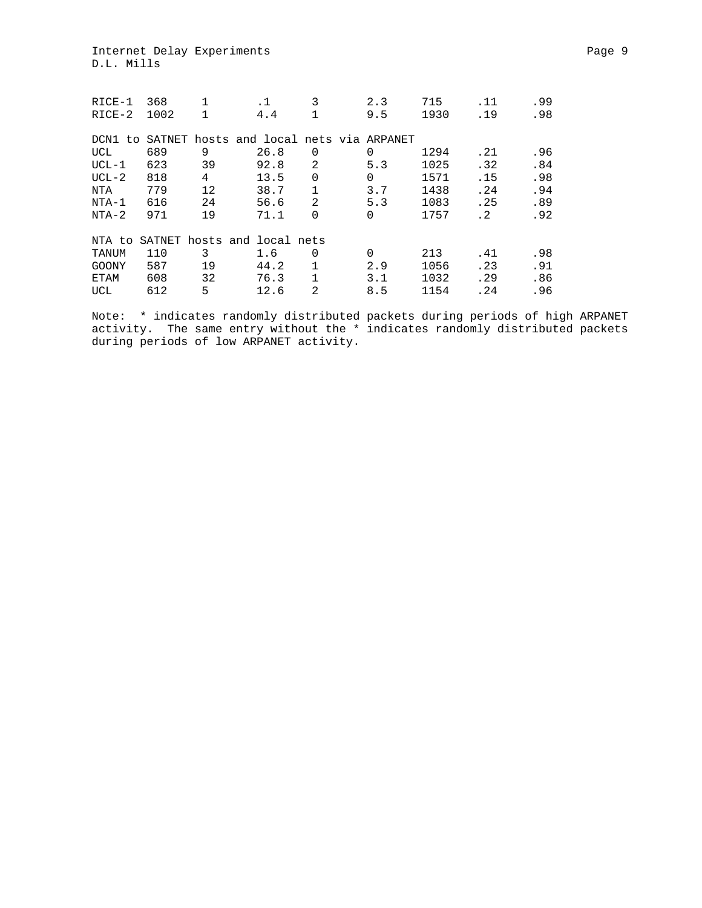Internet Delay Experiments extending the extendion of the Page 9 D.L. Mills

| RICE-1      | 368  | $\mathbf 1$ | .1                                      | 3              | 2.3      | 715  | .11       | .99 |
|-------------|------|-------------|-----------------------------------------|----------------|----------|------|-----------|-----|
| $RICE-2$    | 1002 | 1           | 4.4                                     |                | 9.5      | 1930 | .19       | .98 |
| DCN1<br>to. |      |             | SATNET hosts and local nets via ARPANET |                |          |      |           |     |
| UCL         | 689  | 9           | 26.8                                    | $\Omega$       | 0        | 1294 | .21       | .96 |
| $UCL-1$     | 623  | 39          | 92.8                                    | $\overline{2}$ | 5.3      | 1025 | .32       | .84 |
| $UCL-2$     | 818  | 4           | 13.5                                    | $\Omega$       | $\Omega$ | 1571 | .15       | .98 |
| NTA         | 779  | 12          | 38.7                                    | 1              | 3.7      | 1438 | .24       | .94 |
| $NTA-1$     | 616  | 24          | 56.6                                    | 2              | 5.3      | 1083 | .25       | .89 |
| $NTA-2$     | 971  | 19          | 71.1                                    | $\Omega$       | $\Omega$ | 1757 | $\cdot$ 2 | .92 |
| NTA to      |      |             | SATNET hosts and local nets             |                |          |      |           |     |
| TANUM       | 110  | 3           | 1.6                                     | $\Omega$       | $\Omega$ | 213  | .41       | .98 |
| GOONY       | 587  | 19          | 44.2                                    |                | 2.9      | 1056 | .23       | .91 |
| ETAM        | 608  | 32          | 76.3                                    | 1              | 3.1      | 1032 | .29       | .86 |
| UCL         | 612  | 5           | 12.6                                    | $\overline{2}$ | 8.5      | 1154 | .24       | .96 |

Note: \* indicates randomly distributed packets during periods of high ARPANET activity. The same entry without the \* indicates randomly distributed packets during periods of low ARPANET activity.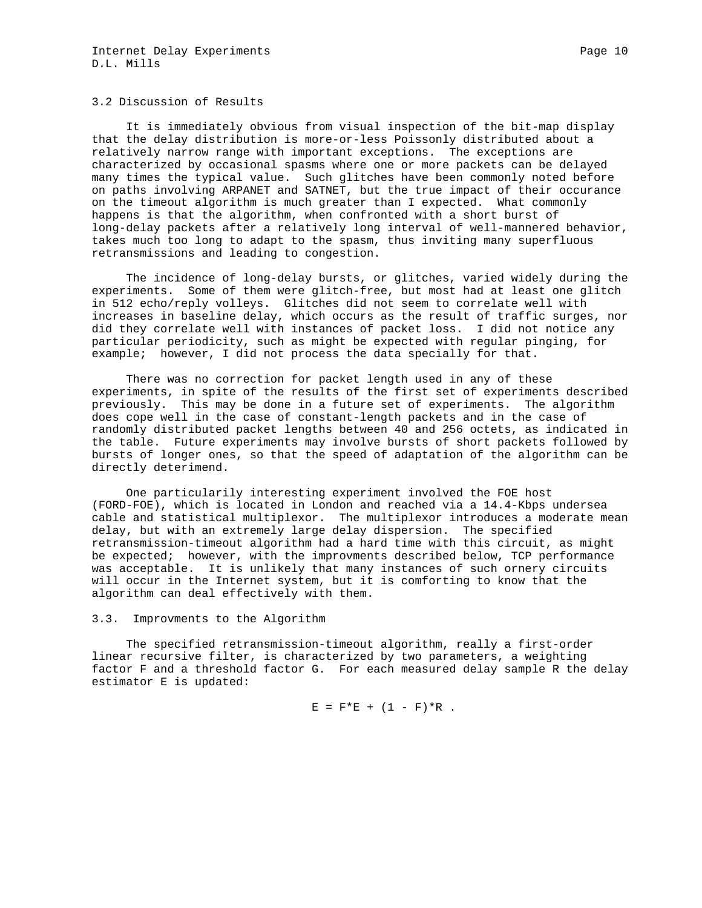### 3.2 Discussion of Results

 It is immediately obvious from visual inspection of the bit-map display that the delay distribution is more-or-less Poissonly distributed about a relatively narrow range with important exceptions. The exceptions are characterized by occasional spasms where one or more packets can be delayed many times the typical value. Such glitches have been commonly noted before on paths involving ARPANET and SATNET, but the true impact of their occurance on the timeout algorithm is much greater than I expected. What commonly happens is that the algorithm, when confronted with a short burst of long-delay packets after a relatively long interval of well-mannered behavior, takes much too long to adapt to the spasm, thus inviting many superfluous retransmissions and leading to congestion.

 The incidence of long-delay bursts, or glitches, varied widely during the experiments. Some of them were glitch-free, but most had at least one glitch in 512 echo/reply volleys. Glitches did not seem to correlate well with increases in baseline delay, which occurs as the result of traffic surges, nor did they correlate well with instances of packet loss. I did not notice any particular periodicity, such as might be expected with regular pinging, for example; however, I did not process the data specially for that.

 There was no correction for packet length used in any of these experiments, in spite of the results of the first set of experiments described previously. This may be done in a future set of experiments. The algorithm does cope well in the case of constant-length packets and in the case of randomly distributed packet lengths between 40 and 256 octets, as indicated in the table. Future experiments may involve bursts of short packets followed by bursts of longer ones, so that the speed of adaptation of the algorithm can be directly deterimend.

 One particularily interesting experiment involved the FOE host (FORD-FOE), which is located in London and reached via a 14.4-Kbps undersea cable and statistical multiplexor. The multiplexor introduces a moderate mean delay, but with an extremely large delay dispersion. The specified retransmission-timeout algorithm had a hard time with this circuit, as might be expected; however, with the improvments described below, TCP performance was acceptable. It is unlikely that many instances of such ornery circuits will occur in the Internet system, but it is comforting to know that the algorithm can deal effectively with them.

#### 3.3. Improvments to the Algorithm

 The specified retransmission-timeout algorithm, really a first-order linear recursive filter, is characterized by two parameters, a weighting factor F and a threshold factor G. For each measured delay sample R the delay estimator E is updated:

 $E = F*E + (1 - F)*R$ .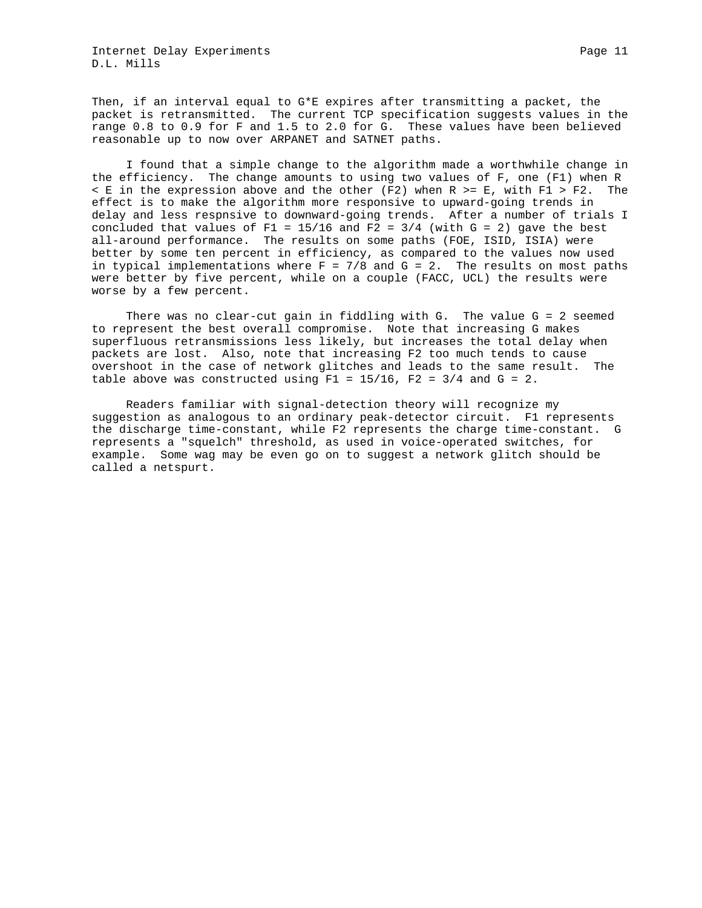Then, if an interval equal to G\*E expires after transmitting a packet, the packet is retransmitted. The current TCP specification suggests values in the range 0.8 to 0.9 for F and 1.5 to 2.0 for G. These values have been believed reasonable up to now over ARPANET and SATNET paths.

 I found that a simple change to the algorithm made a worthwhile change in the efficiency. The change amounts to using two values of F, one (F1) when R  $\leq$  E in the expression above and the other (F2) when R >= E, with F1 > F2. The effect is to make the algorithm more responsive to upward-going trends in delay and less respnsive to downward-going trends. After a number of trials I concluded that values of F1 =  $15/16$  and F2 =  $3/4$  (with G = 2) gave the best all-around performance. The results on some paths (FOE, ISID, ISIA) were better by some ten percent in efficiency, as compared to the values now used in typical implementations where  $F = 7/8$  and  $G = 2$ . The results on most paths were better by five percent, while on a couple (FACC, UCL) the results were worse by a few percent.

 There was no clear-cut gain in fiddling with G. The value G = 2 seemed to represent the best overall compromise. Note that increasing G makes superfluous retransmissions less likely, but increases the total delay when packets are lost. Also, note that increasing F2 too much tends to cause overshoot in the case of network glitches and leads to the same result. The table above was constructed using  $F1 = 15/16$ ,  $F2 = 3/4$  and  $G = 2$ .

 Readers familiar with signal-detection theory will recognize my suggestion as analogous to an ordinary peak-detector circuit. F1 represents the discharge time-constant, while F2 represents the charge time-constant. G represents a "squelch" threshold, as used in voice-operated switches, for example. Some wag may be even go on to suggest a network glitch should be called a netspurt.